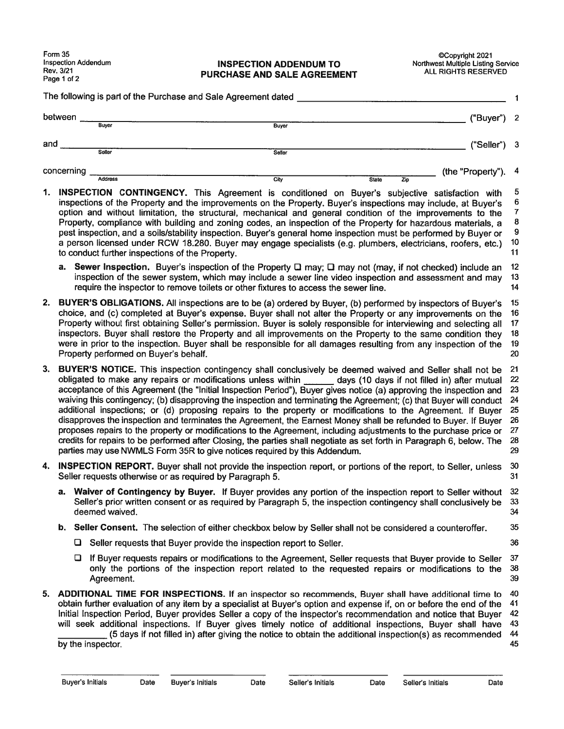#### Inspection Addendum **INSPECTION ADDENDUM TO**<br>Rev. 3/21 **DIIRCHASE AND SALE ACREEMENT** ALL RIGHTS RESERVED PURCHASE AND SALE AGREEMENT

|     | Form 35<br>Rev. 3/21<br>Page 1 of 2                                                                                                                                                                                                                                                                                                                                                                                                                                                                                                                                                                                                                                                                                                                                                                                                                                                                                                                                                                                                 | <b>Inspection Addendum</b>                                                                                                                                                                                                                                                                                                                                                                                                                                                                                                                                                                                                      |                                                                                                                                                                                                                                                                                                                                                                                                                                                                                                                                                                                                                                                                                                                                       | <b>INSPECTION ADDENDUM TO</b><br>PURCHASE AND SALE AGREEMENT |                     | CCopyright 2021<br>Northwest Multiple Listing Service<br>ALL RIGHTS RESERVED |                                                                         |
|-----|-------------------------------------------------------------------------------------------------------------------------------------------------------------------------------------------------------------------------------------------------------------------------------------------------------------------------------------------------------------------------------------------------------------------------------------------------------------------------------------------------------------------------------------------------------------------------------------------------------------------------------------------------------------------------------------------------------------------------------------------------------------------------------------------------------------------------------------------------------------------------------------------------------------------------------------------------------------------------------------------------------------------------------------|---------------------------------------------------------------------------------------------------------------------------------------------------------------------------------------------------------------------------------------------------------------------------------------------------------------------------------------------------------------------------------------------------------------------------------------------------------------------------------------------------------------------------------------------------------------------------------------------------------------------------------|---------------------------------------------------------------------------------------------------------------------------------------------------------------------------------------------------------------------------------------------------------------------------------------------------------------------------------------------------------------------------------------------------------------------------------------------------------------------------------------------------------------------------------------------------------------------------------------------------------------------------------------------------------------------------------------------------------------------------------------|--------------------------------------------------------------|---------------------|------------------------------------------------------------------------------|-------------------------------------------------------------------------|
|     |                                                                                                                                                                                                                                                                                                                                                                                                                                                                                                                                                                                                                                                                                                                                                                                                                                                                                                                                                                                                                                     |                                                                                                                                                                                                                                                                                                                                                                                                                                                                                                                                                                                                                                 | The following is part of the Purchase and Sale Agreement dated                                                                                                                                                                                                                                                                                                                                                                                                                                                                                                                                                                                                                                                                        |                                                              |                     |                                                                              | 1                                                                       |
|     | between                                                                                                                                                                                                                                                                                                                                                                                                                                                                                                                                                                                                                                                                                                                                                                                                                                                                                                                                                                                                                             |                                                                                                                                                                                                                                                                                                                                                                                                                                                                                                                                                                                                                                 |                                                                                                                                                                                                                                                                                                                                                                                                                                                                                                                                                                                                                                                                                                                                       |                                                              |                     | ("Buyer"                                                                     | $\mathbf{2}$                                                            |
|     |                                                                                                                                                                                                                                                                                                                                                                                                                                                                                                                                                                                                                                                                                                                                                                                                                                                                                                                                                                                                                                     | Buyer                                                                                                                                                                                                                                                                                                                                                                                                                                                                                                                                                                                                                           |                                                                                                                                                                                                                                                                                                                                                                                                                                                                                                                                                                                                                                                                                                                                       | <b>Buyer</b>                                                 |                     |                                                                              |                                                                         |
| and |                                                                                                                                                                                                                                                                                                                                                                                                                                                                                                                                                                                                                                                                                                                                                                                                                                                                                                                                                                                                                                     | Seller                                                                                                                                                                                                                                                                                                                                                                                                                                                                                                                                                                                                                          |                                                                                                                                                                                                                                                                                                                                                                                                                                                                                                                                                                                                                                                                                                                                       | <b>Seller</b>                                                |                     | ("Seller")                                                                   | -3                                                                      |
|     | concerning                                                                                                                                                                                                                                                                                                                                                                                                                                                                                                                                                                                                                                                                                                                                                                                                                                                                                                                                                                                                                          |                                                                                                                                                                                                                                                                                                                                                                                                                                                                                                                                                                                                                                 |                                                                                                                                                                                                                                                                                                                                                                                                                                                                                                                                                                                                                                                                                                                                       |                                                              |                     | (the "Property")                                                             | 4                                                                       |
| 1.  |                                                                                                                                                                                                                                                                                                                                                                                                                                                                                                                                                                                                                                                                                                                                                                                                                                                                                                                                                                                                                                     | <b>Address</b>                                                                                                                                                                                                                                                                                                                                                                                                                                                                                                                                                                                                                  | INSPECTION CONTINGENCY. This Agreement is conditioned on Buyer's subjective satisfaction with<br>inspections of the Property and the improvements on the Property. Buyer's inspections may include, at Buyer's<br>option and without limitation, the structural, mechanical and general condition of the improvements to the<br>Property, compliance with building and zoning codes, an inspection of the Property for hazardous materials, a<br>pest inspection, and a soils/stability inspection. Buyer's general home inspection must be performed by Buyer or<br>a person licensed under RCW 18.280. Buyer may engage specialists (e.g. plumbers, electricians, roofers, etc.)<br>to conduct further inspections of the Property. | City                                                         | <b>State</b><br>Zip |                                                                              | 5<br>6<br>$\boldsymbol{7}$<br>${\bf 8}$<br>$\boldsymbol{9}$<br>10<br>11 |
|     |                                                                                                                                                                                                                                                                                                                                                                                                                                                                                                                                                                                                                                                                                                                                                                                                                                                                                                                                                                                                                                     |                                                                                                                                                                                                                                                                                                                                                                                                                                                                                                                                                                                                                                 | a. Sewer Inspection. Buyer's inspection of the Property $\Box$ may; $\Box$ may not (may, if not checked) include an<br>inspection of the sewer system, which may include a sewer line video inspection and assessment and may<br>require the inspector to remove toilets or other fixtures to access the sewer line.                                                                                                                                                                                                                                                                                                                                                                                                                  |                                                              |                     |                                                                              | 12<br>13<br>14                                                          |
| 2.  |                                                                                                                                                                                                                                                                                                                                                                                                                                                                                                                                                                                                                                                                                                                                                                                                                                                                                                                                                                                                                                     | BUYER'S OBLIGATIONS. All inspections are to be (a) ordered by Buyer, (b) performed by inspectors of Buyer's<br>choice, and (c) completed at Buyer's expense. Buyer shall not alter the Property or any improvements on the<br>Property without first obtaining Seller's permission. Buyer is solely responsible for interviewing and selecting all<br>inspectors. Buyer shall restore the Property and all improvements on the Property to the same condition they<br>were in prior to the inspection. Buyer shall be responsible for all damages resulting from any inspection of the<br>Property performed on Buyer's behalf. |                                                                                                                                                                                                                                                                                                                                                                                                                                                                                                                                                                                                                                                                                                                                       |                                                              |                     |                                                                              | 15<br>16<br>17<br>18<br>19<br>20                                        |
| 3.  | BUYER'S NOTICE. This inspection contingency shall conclusively be deemed waived and Seller shall not be<br>obligated to make any repairs or modifications unless within days (10 days if not filled in) after mutual<br>acceptance of this Agreement (the "initial Inspection Period"), Buyer gives notice (a) approving the inspection and<br>waiving this contingency; (b) disapproving the inspection and terminating the Agreement; (c) that Buyer will conduct<br>additional inspections; or (d) proposing repairs to the property or modifications to the Agreement. If Buyer<br>disapproves the inspection and terminates the Agreement, the Earnest Money shall be refunded to Buyer. If Buyer<br>proposes repairs to the property or modifications to the Agreement, including adjustments to the purchase price or<br>credits for repairs to be performed after Closing, the parties shall negotiate as set forth in Paragraph 6, below. The<br>parties may use NWMLS Form 35R to give notices required by this Addendum. |                                                                                                                                                                                                                                                                                                                                                                                                                                                                                                                                                                                                                                 |                                                                                                                                                                                                                                                                                                                                                                                                                                                                                                                                                                                                                                                                                                                                       |                                                              |                     | 21<br>22<br>23<br>24<br>25<br>26<br>27<br>28<br>29                           |                                                                         |
| 4.  |                                                                                                                                                                                                                                                                                                                                                                                                                                                                                                                                                                                                                                                                                                                                                                                                                                                                                                                                                                                                                                     |                                                                                                                                                                                                                                                                                                                                                                                                                                                                                                                                                                                                                                 | <b>INSPECTION REPORT.</b> Buyer shall not provide the inspection report, or portions of the report, to Seller, unless<br>Seller requests otherwise or as required by Paragraph 5.                                                                                                                                                                                                                                                                                                                                                                                                                                                                                                                                                     |                                                              |                     |                                                                              | 30<br>31                                                                |
|     |                                                                                                                                                                                                                                                                                                                                                                                                                                                                                                                                                                                                                                                                                                                                                                                                                                                                                                                                                                                                                                     | deemed waived.                                                                                                                                                                                                                                                                                                                                                                                                                                                                                                                                                                                                                  | a. Waiver of Contingency by Buyer. If Buyer provides any portion of the inspection report to Seller without<br>Seller's prior written consent or as required by Paragraph 5, the inspection contingency shall conclusively be                                                                                                                                                                                                                                                                                                                                                                                                                                                                                                         |                                                              |                     |                                                                              | 32<br>33<br>34                                                          |
|     |                                                                                                                                                                                                                                                                                                                                                                                                                                                                                                                                                                                                                                                                                                                                                                                                                                                                                                                                                                                                                                     |                                                                                                                                                                                                                                                                                                                                                                                                                                                                                                                                                                                                                                 | b. Seller Consent. The selection of either checkbox below by Seller shall not be considered a counteroffer.                                                                                                                                                                                                                                                                                                                                                                                                                                                                                                                                                                                                                           |                                                              |                     |                                                                              | 35                                                                      |
|     |                                                                                                                                                                                                                                                                                                                                                                                                                                                                                                                                                                                                                                                                                                                                                                                                                                                                                                                                                                                                                                     |                                                                                                                                                                                                                                                                                                                                                                                                                                                                                                                                                                                                                                 | $\Box$ Seller requests that Buyer provide the inspection report to Seller.                                                                                                                                                                                                                                                                                                                                                                                                                                                                                                                                                                                                                                                            |                                                              |                     |                                                                              | 36                                                                      |
|     |                                                                                                                                                                                                                                                                                                                                                                                                                                                                                                                                                                                                                                                                                                                                                                                                                                                                                                                                                                                                                                     | Agreement.                                                                                                                                                                                                                                                                                                                                                                                                                                                                                                                                                                                                                      | □ If Buyer requests repairs or modifications to the Agreement, Seller requests that Buyer provide to Seller<br>only the portions of the inspection report related to the requested repairs or modifications to the                                                                                                                                                                                                                                                                                                                                                                                                                                                                                                                    |                                                              |                     |                                                                              | 37<br>38<br>39                                                          |
| 5.  |                                                                                                                                                                                                                                                                                                                                                                                                                                                                                                                                                                                                                                                                                                                                                                                                                                                                                                                                                                                                                                     |                                                                                                                                                                                                                                                                                                                                                                                                                                                                                                                                                                                                                                 | ADDITIONAL TIME FOR INSPECTIONS. If an inspector so recommends, Buyer shall have additional time to<br>obtain further evaluation of any item by a specialist at Buyer's option and expense if, on or before the end of the<br>Initial Inspection Period, Buyer provides Seller a copy of the inspector's recommendation and notice that Buyer<br>will seek additional inspections. If Buyer gives timely notice of additional inspections, Buyer shall have                                                                                                                                                                                                                                                                           |                                                              |                     |                                                                              | 40<br>41<br>42<br>43                                                    |

Initial Inspection Period, Buyer provides Seller a copy of the inspector's recommendation and notice that Buyer 42 will seek additional inspections. If Buyer gives timely notice of additional inspections, Buyer shall have (5 days if not filled in) after <sup>g</sup>iving the notice to obtain the additional inspection(s) as recommended <sup>44</sup> by the inspector.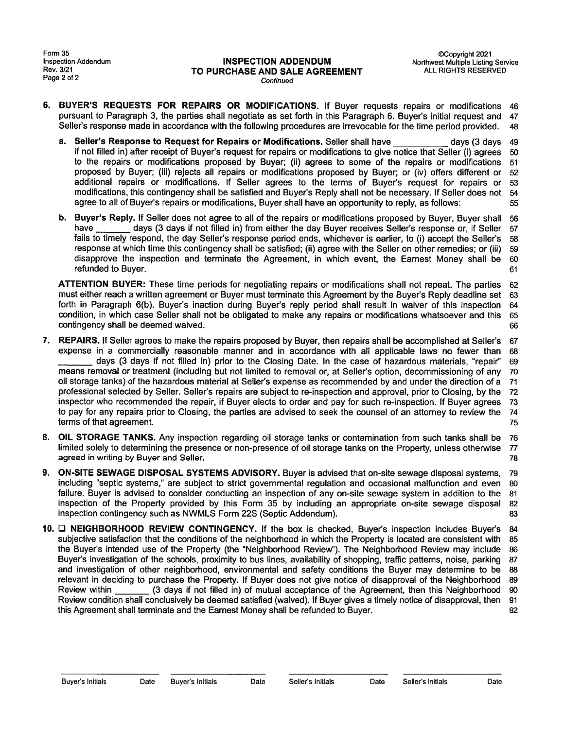### INSPECTION ADDENDUM Northwest Multiple Listing Service<br>
Rev. 3/21 TO PURCHASE AND SALE AGREEMENT ALL RIGHTS RESERVED<br>
Page 2 of 2 **Continued**

- 6. BUYER'S REQUESTS FOR REPAIRS OR MODIFICATIONS. If Buyer requests repairs or modifications 46 pursuan<sup>t</sup> to Paragraph 3, the parties shall negotiate as set forth in this Paragraph 6. Buyer's initial reques<sup>t</sup> and <sup>47</sup> Seller's response made in accordance with the following procedures are irrevocable for the time period provided. <sup>48</sup> a. Seller's Request for Repairs or Modifications. Seller shall have experiment and the formulation of SALE AGREEMENT<br>
2 of 2<br>
BUYER'S REQUESTS FOR REPAIRS OR MODIFICATIONS. If Buyer requests repairs or modifications 46<br>
Pu
- if not filled in) after receipt of Buyer's reques<sup>t</sup> for repairs or modifications to <sup>g</sup>ive notice that Seller (i) agrees <sup>50</sup> to the repairs or modifications proposed by Buyer; (ii) agrees to some of the repairs or modifications 51 proposed by Buyer; (iii) rejects all repairs or modifications proposed by Buyer; or (iv) offers different or 52 additional repairs or modifications. If Seller agrees to the terms of Buyer's reques<sup>t</sup> for repairs or <sup>53</sup> modifications, this contingency shall be satisfied and Buyer's Reply shall not be necessary. If Seller does not 54 agree to all of Buyer's repairs or modifications, Buyer shall have an opportunity to reply, as follows: 55 Addendum<br> **HAVE COPY (SET ON ADDENDUM**<br>
<sup>COPY</sup> (Section of The Continued<br>
<sup>COPY</sup> (SET'S REQUESTS FOR REPAIRS OR MODIFICATIONS. If Buyer requests repairs or modifications 4<br>
uant to Paragraph 3, the parties shall negotiate expense in a commercial of the particle manner and in a commercially reasonable manner and in a commercially reasonable manner and in accordance with all applicable laws no fewer than the set of the particle manner and in
	- b. Buyer's Reply. If Seller does not agree to all of the repairs or modifications propose<sup>d</sup> by Buyer, Buyer shall <sup>56</sup> fails to timely respond, the day Seller's response period ends, whichever is earlier, to (i) accep<sup>t</sup> the Seller's 58 response at which time this contingency shall be satisfied; (ii) agree with the Seller on other remedies; or (iii) 59 disapprove the inspection and terminate the Agreement, in which event, the Earnest Money shall be 60 refunded to Buyer. 61

ATTENTION BUYER: These time periods for negotiating repairs or modifications shall not repeat. The parties 62 must either reach <sup>a</sup> written agreemen<sup>t</sup> or Buyer must terminate this Agreement by the Buyer's Reply deadline set <sup>63</sup> forth in Paragraph 6(b). Buyer's inaction during Buyer's reply period shall result in waiver of this inspection <sup>64</sup> condition, in which case Seller shall not be obligated to make any repairs or modifications whatsoever and this 65 contingency shall be deemed waived. **66** CONSERVING 2008 2012 12:00 12:00 12:00 12:00 12:00 12:00 12:00 12:00 12:00 12:00 12:00 12:00 12:00 12:00 12:00 12:00 12:00 12:00 12:00 12:00 12:00 12:00 12:00 12:00 12:00 12:00 12:0

- 7. REPAIRS. If Seller agrees to make the repairs proposed by Buyer, then repairs shall be accomplished at Seller's <sup>67</sup> days (3 days if not filled in) prior to the Closing Date. In the case of hazardous materials, 'repair" 69 means removal or treatment (including but not limited to removal or, at Seller's option, decommissioning of any 70 oil storage tanks) of the hazardous material at Seller's expense as recommended by and under the direction of <sup>a</sup> <sup>71</sup> professional selected by Seller. Seller's repairs are subject to re-inspection and approval, prior to Closing, by the <sup>72</sup> inspector who recommended the repair, if Buyer elects to order and pay for such re-inspection. If Buyer agrees 73 to pay for any repairs prior to Closing, the parties are advised to seek the counsel of an attorney to review the <sup>74</sup> terms of that agreement. The contract of the contract of the contract of the contract of the contract of the contract of the contract of the contract of the contract of the contract of the contract of the contract of the c We Adentify the The Determinant Conservation of the Conservation of the Conservation of the Agreement of the Agreement of the Agreement of the Agreement of the Agreement of the Agreement of the Agreement of the Agreement
- 8. OIL STORAGE TANKS. Any inspection regarding oil storage tanks or contamination from such tanks shall be 76 limited solely to determining the presence or non-presence of oil storage tanks on the Property, unless otherwise <sup>77</sup> agreed in writing by Buyer and Seller. The contract of the contract of the contract of the contract of the contract of the contract of the contract of the contract of the contract of the contract of the contract of the con
- 9. ON-SITE SEWAGE DISPOSAL SYSTEMS ADVISORY. Buyer is advised that on-site sewage disposal systems, 79 including "septic systems," are subject to strict governmental regulation and occasional malfunction and even 80 failure. Buyer is advised to consider conducting an inspection of any on-site sewage system in addition to the 81 inspection of the Property provided by this Form 35 by including an appropriate on-site sewage disposal 82 inspection contingency such as NWMLS Form 22S (Septic Addendum). 83
- 10. **Q NEIGHBORHOOD REVIEW CONTINGENCY.** If the box is checked, Buyer's inspection includes Buyer's 84 subjective satisfaction that the conditions of the neighborhood in which the Property is located are consistent with 85 the Buyer's intended use of the Property (the "Neighborhood Review"). The Neighborhood Review may include 86 Buyer's investigation of the schools, proximity to bus lines, availability of shopping, traffic patterns, noise, parking <sup>87</sup> and investigation of other neighborhood, environmental and safety conditions the Buyer may determine to be 88 relevant in deciding to purchase the Property. If Buyer does not give notice of disapproval of the Neighborhood 89 Review condition shall conclusively be deemed satisfied (waived). If Buyer gives <sup>a</sup> timely notice of disapproval, then 91 this Agreement shall terminate and the Earnest Money shall be refunded to Buyer. 92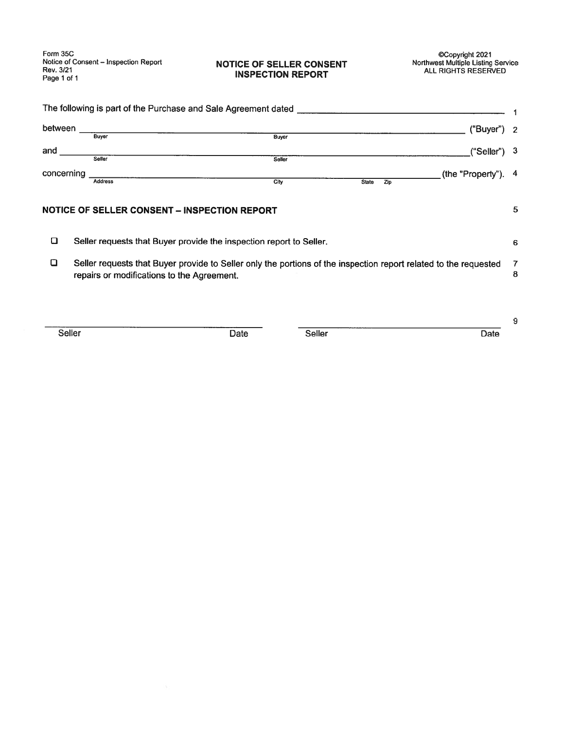Form 35C<br>
Notice of Consent – Inspection Report<br>
Rev. 3/21<br> **INSPECTION REPORT** CONSENT Morthwest Multiple Listing Service<br> **INSPECTION REPORT** ALL RIGHTS RESERVED Page 1 of 1 **INSPECTION REPORT**<br>
Page 1 of 1

## NOTICE OF SELLER CONSENT

| between    |                                              |                                                                     |                     | ("Buyer") 2         |   |
|------------|----------------------------------------------|---------------------------------------------------------------------|---------------------|---------------------|---|
|            | Buyer                                        | <b>Buyer</b>                                                        |                     |                     |   |
| and        |                                              |                                                                     |                     | $("Seller")$ 3      |   |
|            | Seller                                       | Seller                                                              |                     |                     |   |
| concerning |                                              |                                                                     |                     | (the "Property"). 4 |   |
|            | <b>Address</b>                               | City                                                                | Zip<br><b>State</b> |                     |   |
|            |                                              |                                                                     |                     |                     |   |
|            | NOTICE OF SELLER CONSENT - INSPECTION REPORT |                                                                     |                     |                     | 5 |
| O          |                                              | Seller requests that Buyer provide the inspection report to Seller. |                     |                     | 6 |

Seller Date Seller Date

9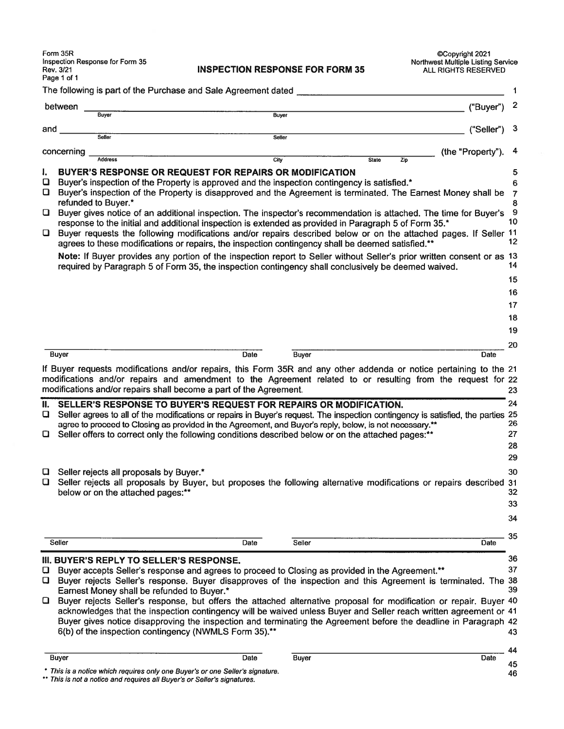| Form 35R<br>Inspection Response for Form 35<br>Rev. 3/21                                               | <b>INSPECTION RESPONSE FOR FORM 35</b>                                                                                                                                                                                                                                             | CCopyright 2021<br><b>Northwest Multiple Listing Service</b><br>ALL RIGHTS RESERVED                                                                                                                                                                                                                                                                                                                                                                                          |
|--------------------------------------------------------------------------------------------------------|------------------------------------------------------------------------------------------------------------------------------------------------------------------------------------------------------------------------------------------------------------------------------------|------------------------------------------------------------------------------------------------------------------------------------------------------------------------------------------------------------------------------------------------------------------------------------------------------------------------------------------------------------------------------------------------------------------------------------------------------------------------------|
| Page 1 of 1                                                                                            |                                                                                                                                                                                                                                                                                    |                                                                                                                                                                                                                                                                                                                                                                                                                                                                              |
|                                                                                                        | The following is part of the Purchase and Sale Agreement dated                                                                                                                                                                                                                     |                                                                                                                                                                                                                                                                                                                                                                                                                                                                              |
| between<br>Buver                                                                                       | Buyer                                                                                                                                                                                                                                                                              | ("Buyer")                                                                                                                                                                                                                                                                                                                                                                                                                                                                    |
| and                                                                                                    |                                                                                                                                                                                                                                                                                    | ("Seller")                                                                                                                                                                                                                                                                                                                                                                                                                                                                   |
| Seller                                                                                                 | Seller                                                                                                                                                                                                                                                                             |                                                                                                                                                                                                                                                                                                                                                                                                                                                                              |
| concerning<br><b>Address</b>                                                                           | City                                                                                                                                                                                                                                                                               | (the "Property"<br><b>State</b><br>Zip                                                                                                                                                                                                                                                                                                                                                                                                                                       |
| ı.                                                                                                     | <b>BUYER'S RESPONSE OR REQUEST FOR REPAIRS OR MODIFICATION</b>                                                                                                                                                                                                                     |                                                                                                                                                                                                                                                                                                                                                                                                                                                                              |
| ❏                                                                                                      | Buyer's inspection of the Property is approved and the inspection contingency is satisfied.*                                                                                                                                                                                       |                                                                                                                                                                                                                                                                                                                                                                                                                                                                              |
| O.<br>refunded to Buyer.*                                                                              |                                                                                                                                                                                                                                                                                    | Buyer's inspection of the Property is disapproved and the Agreement is terminated. The Earnest Money shall be 7                                                                                                                                                                                                                                                                                                                                                              |
| O<br>O                                                                                                 | response to the initial and additional inspection is extended as provided in Paragraph 5 of Form 35.*<br>agrees to these modifications or repairs, the inspection contingency shall be deemed satisfied.**                                                                         | Buyer gives notice of an additional inspection. The inspector's recommendation is attached. The time for Buyer's<br>Buyer requests the following modifications and/or repairs described below or on the attached pages. If Seller 11                                                                                                                                                                                                                                         |
|                                                                                                        | required by Paragraph 5 of Form 35, the inspection contingency shall conclusively be deemed waived.                                                                                                                                                                                | Note: If Buyer provides any portion of the inspection report to Seller without Seller's prior written consent or as 13                                                                                                                                                                                                                                                                                                                                                       |
|                                                                                                        |                                                                                                                                                                                                                                                                                    |                                                                                                                                                                                                                                                                                                                                                                                                                                                                              |
|                                                                                                        |                                                                                                                                                                                                                                                                                    |                                                                                                                                                                                                                                                                                                                                                                                                                                                                              |
|                                                                                                        |                                                                                                                                                                                                                                                                                    |                                                                                                                                                                                                                                                                                                                                                                                                                                                                              |
|                                                                                                        |                                                                                                                                                                                                                                                                                    |                                                                                                                                                                                                                                                                                                                                                                                                                                                                              |
|                                                                                                        |                                                                                                                                                                                                                                                                                    |                                                                                                                                                                                                                                                                                                                                                                                                                                                                              |
| Buyer                                                                                                  | Date<br><b>Buyer</b>                                                                                                                                                                                                                                                               | Date                                                                                                                                                                                                                                                                                                                                                                                                                                                                         |
|                                                                                                        | modifications and/or repairs shall become a part of the Agreement.                                                                                                                                                                                                                 | If Buyer requests modifications and/or repairs, this Form 35R and any other addenda or notice pertaining to the 21<br>modifications and/or repairs and amendment to the Agreement related to or resulting from the request for 22                                                                                                                                                                                                                                            |
| u                                                                                                      | SELLER'S RESPONSE TO BUYER'S REQUEST FOR REPAIRS OR MODIFICATION.<br>agree to proceed to Closing as provided in the Agreement, and Buyer's reply, below, is not necessary.**<br>Seller offers to correct only the following conditions described below or on the attached pages:** | Seller agrees to all of the modifications or repairs in Buyer's request. The inspection contingency is satisfied, the parties 25                                                                                                                                                                                                                                                                                                                                             |
| Seller rejects all proposals by Buyer.*<br>u<br>u<br>below or on the attached pages:**                 |                                                                                                                                                                                                                                                                                    | Seller rejects all proposals by Buyer, but proposes the following alternative modifications or repairs described 31                                                                                                                                                                                                                                                                                                                                                          |
| Seller                                                                                                 | Seller<br>Date                                                                                                                                                                                                                                                                     | Date                                                                                                                                                                                                                                                                                                                                                                                                                                                                         |
| III, BUYER'S REPLY TO SELLER'S RESPONSE.<br>u<br>O.<br>Earnest Money shall be refunded to Buyer.*<br>O | Buyer accepts Seller's response and agrees to proceed to Closing as provided in the Agreement.**<br>6(b) of the inspection contingency (NWMLS Form 35).**                                                                                                                          | Buyer rejects Seller's response. Buyer disapproves of the inspection and this Agreement is terminated. The 38<br>Buyer rejects Seller's response, but offers the attached alternative proposal for modification or repair. Buyer 40<br>acknowledges that the inspection contingency will be waived unless Buyer and Seller reach written agreement or 41<br>Buyer gives notice disapproving the inspection and terminating the Agreement before the deadline in Paragraph 42 |
| <b>Buyer</b>                                                                                           | <b>Buyer</b><br>Date                                                                                                                                                                                                                                                               | Date                                                                                                                                                                                                                                                                                                                                                                                                                                                                         |
|                                                                                                        | * This is a notice which requires only one Buyer's or one Seller's signature.<br>** This is not a notice and requires all Buyer's or Seller's signatures.                                                                                                                          |                                                                                                                                                                                                                                                                                                                                                                                                                                                                              |